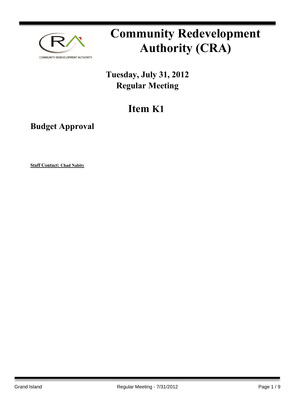

# **Community Redevelopment Authority (CRA)**

## **Tuesday, July 31, 2012 Regular Meeting**

## **Item K1**

### **Budget Approval**

**Staff Contact: Chad Nabity**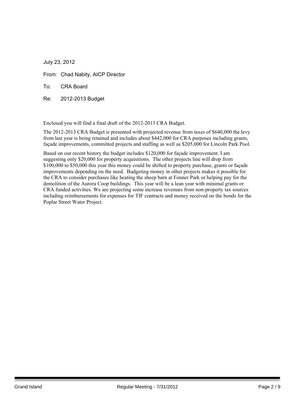July 23, 2012

From: Chad Nabity, AICP Director

To: CRA Board

Re: 2012-2013 Budget

Enclosed you will find a final draft of the 2012-2013 CRA Budget.

The 2012-2013 CRA Budget is presented with projected revenue from taxes of \$640,000 the levy from last year is being retained and includes about \$442,000 for CRA purposes including grants, façade improvements, committed projects and staffing as well as \$205,000 for Lincoln Park Pool.

Based on our recent history the budget includes \$120,000 for façade improvement. I am suggesting only \$20,000 for property acquisitions. The other projects line will drop from \$100,000 to \$50,000 this year this money could be shifted to property purchase, grants or facade improvements depending on the need. Budgeting money in other projects makes it possible for the CRA to consider purchases like heating the sheep barn at Fonner Park or helping pay for the demolition of the Aurora Coop buildings. This year will be a lean year with minimal grants or CRA funded activities. We are projecting some increase revenues from non-property tax sources including reimbursements for expenses for TIF contracts and money received on the bonds for the Poplar Street Water Project.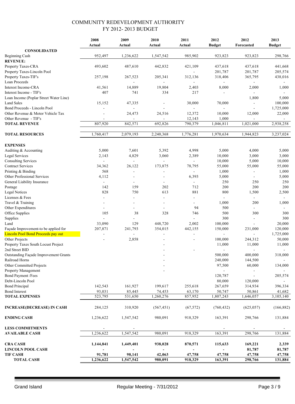|                                               | 2008<br>Actual    | 2009<br>Actual           | 2010<br>Actual      | 2011<br>Actual               | 2012<br><b>Budget</b>    | 2012<br>Forecasted       | 2013<br><b>Budget</b> |
|-----------------------------------------------|-------------------|--------------------------|---------------------|------------------------------|--------------------------|--------------------------|-----------------------|
| <b>CONSOLIDATED</b>                           |                   |                          |                     |                              |                          |                          |                       |
| <b>Beginning Cash</b><br><b>REVENUE:</b>      | 952,497           | 1,236,622                | 1,547,542           | 985,902                      | 923,823                  | 923,823                  | 298,766               |
| Property Taxes-CRA                            | 493,602           | 487,610                  | 442,832             | 421,109                      | 437,618                  | 437,618                  | 441,668               |
| Property Taxes-Lincoln Pool                   |                   |                          |                     |                              | 201,787                  | 201,787                  | 205,574               |
| Property Taxes-TIF's                          | 257,198           | 267,523                  | 205,341             | 312,136                      | 318,406                  | 365,795                  | 438,016               |
| Loan Proceeds                                 |                   |                          |                     |                              |                          | $\overline{\phantom{a}}$ |                       |
| <b>Interest Income-CRA</b>                    | 41,561            | 14,889                   | 19,804              | 2,403                        | 8,000                    | 2,000                    | 1,000                 |
| Interest Income - TIF's                       | 407               | 741                      | 334                 | 217                          |                          | $\mathbf{r}$             |                       |
| Loan Income (Poplar Street Water Line)        |                   |                          |                     |                              |                          | 1,800                    | 5,000                 |
| <b>Land Sales</b>                             | 15,152            | 47,335                   |                     | 30,000                       | 70,000                   | $\blacksquare$           | 100,000               |
| Bond Proceeds - Lincoln Pool                  |                   | $\blacksquare$           | $\overline{a}$      | $\blacksquare$               | ä,                       | $\blacksquare$           | 1,725,000             |
| Other Revenue & Motor Vehicle Tax             |                   | 24,473                   | 24,516              | 12,372                       | 10,000                   | 12,000                   | 22,000                |
| Other Revenue - TIF's                         |                   |                          |                     | 12,143                       | 1,000                    |                          |                       |
| <b>TOTAL REVENUE</b>                          | 807,920           | 842,571                  | 692,826             | 790,379                      | 1,046,811                | 1,021,000                | 2,938,258             |
| <b>TOTAL RESOURCES</b>                        | 1,760,417         | 2,079,193                | 2,240,368           | 1,776,281                    | 1,970,634                | 1,944,823                | 3,237,024             |
| <b>EXPENSES</b>                               |                   |                          |                     |                              |                          |                          |                       |
| Auditing & Accounting                         | 5,000             | 7,601                    | 5,392               | 4,998                        | 5,000                    | 4,000                    | 5,000                 |
| <b>Legal Services</b>                         | 2,143             | 4,829                    | 3,060               | 2,389                        | 10,000                   | 3,000                    | 3,000                 |
| <b>Consulting Services</b>                    | $\blacksquare$    | $\blacksquare$           | $\blacksquare$      | ä,                           | 10,000                   | 5,000                    | 10,000                |
| <b>Contract Services</b>                      | 34,362            | 26,122                   | 173,875             | 78,795                       | 55,000                   | 55,000                   | 55,000                |
| Printing & Binding                            | 568               | $\blacksquare$           | ÷,                  | $\blacksquare$               | 1,000                    | $\blacksquare$           | 1,000                 |
| Other Professional Services                   | 4,112             |                          |                     | 6,393                        | 5,000                    |                          | 5,000                 |
| General Liability Insurance                   | $\blacksquare$    | $\overline{\phantom{a}}$ | $\blacksquare$      | $\blacksquare$               | 250                      | 250                      | 250                   |
| Postage                                       | 142               | 159                      | 202                 | 712                          | 200                      | 200                      | 200                   |
| <b>Legal Notices</b>                          | 828               | 750                      | 613                 | 881                          | 800                      | 1,500                    | 2,500                 |
| Licenses & Fees                               | $\blacksquare$    |                          | $\sim$              | $\overline{a}$               | $\overline{\phantom{a}}$ | $\blacksquare$           |                       |
| Travel & Training                             |                   |                          |                     | $\blacksquare$               | 1,000                    | 200                      | 1,000                 |
| Other Expenditures                            |                   |                          |                     | 94                           | 500                      | $\mathbf{r}$             |                       |
| Office Supplies                               | 105               | 38                       | 328                 | 746                          | 500                      | 300                      | 300                   |
| Supplies                                      | $\blacksquare$    |                          |                     |                              | 300                      | $\blacksquare$           | 300                   |
| Land                                          | 33,090            | 129                      | 448,720             | 2,002                        | 100,000                  | $\overline{\phantom{a}}$ | 20,000                |
| Façade Improvement-to be applied for          | 207,871           | 241,793                  | 354,015             | 442,155                      | 150,000                  | 231,000                  | 120,000               |
| <b>Lincoln Pool Bond Proceeds pay out</b>     |                   |                          | $\overline{a}$      |                              | $\blacksquare$           | $\blacksquare$           | 1,725,000             |
| Other Projects                                |                   | 2,858                    |                     | $\overline{a}$               | 100,000                  | 244,312                  | 50,000                |
| Property Taxes South Locust Project           |                   |                          |                     |                              | 11,000                   | 11,000                   | 11,000                |
| 2nd Street BID                                |                   |                          |                     | $\qquad \qquad \blacksquare$ | $\overline{\phantom{a}}$ | $\blacksquare$           | $\blacksquare$        |
| Outstanding Façade Improvement Grants         |                   |                          |                     |                              | 500,000                  | 400,000                  | 318,000               |
| Railroad Horns                                |                   |                          |                     |                              | 240,000                  | 144,500                  |                       |
| Other Committed Projects                      |                   |                          |                     |                              | 97,500                   | 60,000                   | 134,000               |
| Property Management                           |                   |                          |                     |                              |                          |                          |                       |
| <b>Bond Payment /Fees</b>                     |                   |                          |                     |                              | 120,787                  | $\blacksquare$           | 205,574               |
| Debt-Lincoln Pool                             |                   |                          |                     |                              | 80,000                   | 120,000                  |                       |
| <b>Bond Principal</b>                         | 142,543           | 161,927                  | 199,617             | 255,618                      | 267,659                  | 314,934                  | 396,334               |
| <b>Bond Interest</b><br><b>TOTAL EXPENSES</b> | 93,031<br>523,795 | 85,445<br>531,650        | 74,453<br>1,260,276 | 63,170<br>857,952            | 50,747<br>1,807,243      | 50,861<br>1,646,057      | 41,682<br>3,105,140   |
|                                               |                   |                          |                     |                              |                          |                          |                       |
| <b>INCREASE(DECREASE) IN CASH</b>             | 284,125           | 310,920                  | (567, 451)          | (67, 572)                    | (760, 432)               | (625, 057)               | (166, 882)            |
| <b>ENDING CASH</b>                            | 1,236,622         | 1,547,542                | 980,091             | 918,329                      | 163,391                  | 298,766                  | 131,884               |
| <b>LESS COMMITMENTS</b>                       |                   |                          |                     |                              |                          |                          |                       |
| <b>AVAILABLE CASH</b>                         | 1,236,622         | 1,547,542                | 980,091             | 918,329                      | 163,391                  | 298,766                  | 131,884               |
| <b>CRA CASH</b>                               | 1,144,841         | 1,449,401                | 938,028             | 870,571                      | 115,633                  | 169,221                  | 2,339                 |
| <b>LINCOLN POOL CASH</b>                      |                   |                          |                     |                              |                          | 81,787                   | 81,787                |
| <b>TIF CASH</b>                               | 91,781            | 98,141                   | 42,063              | 47,758                       | 47,758                   | 47,758                   | 47,758                |
| <b>TOTAL CASH</b>                             | 1,236,622         | 1,547,542                | 980,091             | 918,329                      | 163,391                  | 298,766                  | 131,884               |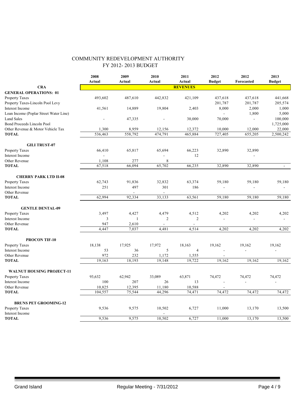|                                        | 2008<br>Actual         | 2009<br>Actual | 2010<br>Actual | 2011<br>Actual  | 2012<br><b>Budget</b> | 2012<br>Forecasted | 2013<br><b>Budget</b> |
|----------------------------------------|------------------------|----------------|----------------|-----------------|-----------------------|--------------------|-----------------------|
| <b>CRA</b>                             |                        |                |                | <b>REVENUES</b> |                       |                    |                       |
| <b>GENERAL OPERATIONS: 01</b>          |                        |                |                |                 |                       |                    |                       |
| <b>Property Taxes</b>                  | 493,602                | 487,610        | 442,832        | 421,109         | 437,618               | 437,618            | 441,668               |
| Property Taxes-Lincoln Pool Levy       |                        |                |                |                 | 201,787               | 201,787            | 205,574               |
| Interest Income                        | 41,561                 | 14,889         | 19,804         | 2,403           | 8,000                 | 2,000              | 1,000                 |
| Loan Income (Poplar Street Water Line) |                        |                |                |                 | $\blacksquare$        | 1,800              | 5,000                 |
| <b>Land Sales</b>                      |                        | 47,335         |                | 30,000          | 70,000                | $\blacksquare$     | 100,000               |
| <b>Bond Proceeds Lincoln Pool</b>      |                        |                |                |                 |                       |                    | 1,725,000             |
| Other Revenue & Motor Vehicle Tax      | 1,300                  | 8,959          | 12,156         | 12,372          | 10,000                | 12,000             | 22,000                |
| <b>TOTAL</b>                           | $\overline{536}$ , 463 | 558,792        | 474,791        | 465,884         | 727,405               | 655,205            | 2,500,242             |
| <b>GILI TRUST-07</b>                   |                        |                |                |                 |                       |                    |                       |
| Property Taxes                         | 66,410                 | 65,817         | 65,694         | 66,223          | 32,890                | 32,890             |                       |
| Interest Income                        | $\sim$                 |                |                | 12              |                       |                    |                       |
| Other Revenue                          | 1,108                  | 277            | 8              |                 |                       |                    |                       |
| <b>TOTAL</b>                           | 67,518                 | 66,094         | 65,702         | 66,235          | 32,890                | 32,890             | $\blacksquare$        |
| <b>CHERRY PARK LTD II-08</b>           |                        |                |                |                 |                       |                    |                       |
| Property Taxes                         | 62,743                 | 91,836         | 32,832         | 63,374          | 59,180                | 59,180             | 59,180                |
| Interest Income                        | 251                    | 497            | 301            | 186             | $\overline{a}$        | $\sim$             |                       |
| Other Revenue                          |                        |                |                |                 |                       |                    |                       |
| <b>TOTAL</b>                           | 62,994                 | 92,334         | 33,133         | 63,561          | 59,180                | 59,180             | 59,180                |
| <b>GENTLE DENTAL-09</b>                |                        |                |                |                 |                       |                    |                       |
| <b>Property Taxes</b>                  | 3,497                  | 4,427          | 4,479          | 4,512           | 4,202                 | 4,202              | 4,202                 |
| Interest Income                        | 3                      | 1              | $\overline{c}$ | $\sqrt{2}$      | ÷,                    |                    |                       |
| Other Revenue                          | 947                    | 2,610          | $\sim$         | $\sim$          |                       |                    |                       |
| <b>TOTAL</b>                           | 4,447                  | 7,037          | 4,481          | 4,514           | 4,202                 | 4,202              | 4,202                 |
| <b>PROCON TIF-10</b>                   |                        |                |                |                 |                       |                    |                       |
| Property Taxes                         | 18,138                 | 17,925         | 17,972         | 18,163          | 19,162                | 19,162             | 19,162                |
| <b>Interest Income</b>                 | 53                     | 36             | 5              | $\overline{4}$  |                       | $\overline{a}$     |                       |
| Other Revenue                          | 972                    | 232            | 1,172          | 1,555           |                       |                    |                       |
| <b>TOTAL</b>                           | 19,163                 | 18,193         | 19,148         | 19,722          | 19,162                | 19,162             | 19,162                |
| <b>WALNUT HOUSING PROJECT-11</b>       |                        |                |                |                 |                       |                    |                       |
| Property Taxes                         | 93,632                 | 62,942         | 33,089         | 63,871          | 74,472                | 74,472             | 74,472                |
| Interest Income                        | 100                    | 207            | 26             | 13              |                       | ÷,                 |                       |
| Other Revenue                          | 10,825                 | 12,395         | 11,180         | 10,588          |                       |                    |                       |
| <b>TOTAL</b>                           | 104,557                | 75,544         | 44,296         | 74,471          | 74,472                | 74,472             | 74,472                |
| <b>BRUNS PET GROOMING-12</b>           |                        |                |                |                 |                       |                    |                       |
| <b>Property Taxes</b>                  | 9,536                  | 9,575          | 10,502         | 6,727           | 11,000                | 13,170             | 13,500                |
| Interest Income                        |                        |                |                |                 |                       |                    |                       |
| <b>TOTAL</b>                           | 9,536                  | 9,575          | 10,502         | 6,727           | 11,000                | 13,170             | 13,500                |
|                                        |                        |                |                |                 |                       |                    |                       |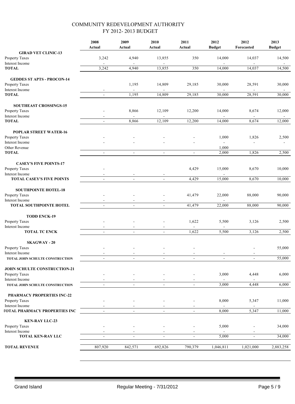|                                                                    | 2008<br>Actual                   | 2009<br>Actual                     | 2010<br>Actual                   | 2011<br>Actual           | 2012<br><b>Budget</b>    | 2012<br>Forecasted               | 2013<br><b>Budget</b> |
|--------------------------------------------------------------------|----------------------------------|------------------------------------|----------------------------------|--------------------------|--------------------------|----------------------------------|-----------------------|
| <b>GIRAD VET CLINIC-13</b><br>Property Taxes                       | 3,242                            | 4,940                              | 13,855                           | 350                      | 14,000                   | 14,037                           | 14,500                |
| Interest Income<br><b>TOTAL</b>                                    | 3,242                            | 4,940                              | 13,855                           | 350                      | 14,000                   | 14,037                           | 14,500                |
| <b>GEDDES ST APTS - PROCON-14</b><br>Property Taxes                |                                  | 1,195                              | 14,809                           | 29,185                   | 30,000                   | 28,591                           | 30,000                |
| Interest Income<br><b>TOTAL</b>                                    | $\overline{a}$                   | 1,195                              | 14,809                           | 29,185                   | $\overline{30,000}$      | 28,591                           | 30,000                |
| <b>SOUTHEAST CROSSINGS-15</b>                                      |                                  |                                    |                                  |                          |                          |                                  |                       |
| Property Taxes<br>Interest Income                                  | $\blacksquare$<br>÷,             | 8,866<br>$\blacksquare$            | 12,109<br>$\sim$                 | 12,200<br>12,200         | 14,000<br>$\blacksquare$ | 8,674<br>$\blacksquare$<br>8,674 | 12,000<br>$\sim$      |
| <b>TOTAL</b>                                                       |                                  | 8,866                              | 12,109                           |                          | 14,000                   |                                  | 12,000                |
| <b>POPLAR STREET WATER-16</b><br>Property Taxes<br>Interest Income |                                  |                                    |                                  | $\overline{\phantom{0}}$ | 1,000<br>$\blacksquare$  | 1,826<br>$\omega$                | 2,500                 |
| Other Revenue<br><b>TOTAL</b>                                      | $\blacksquare$                   | $\sim$                             | $\blacksquare$                   | $\blacksquare$           | 1,000<br>2,000           | 1,826                            | 2,500                 |
| <b>CASEY'S FIVE POINTS-17</b><br>Property Taxes<br>Interest Income |                                  |                                    |                                  | 4,429                    | 15,000                   | 8,670                            | 10,000                |
| TOTAL CASEY'S FIVE POINTS                                          | $\blacksquare$<br>$\blacksquare$ | $\sim$<br>$\overline{\phantom{a}}$ | $\blacksquare$<br>$\blacksquare$ | 4,429                    | $\blacksquare$<br>15,000 | 8,670                            | 10,000                |
| <b>SOUTHPOINTE HOTEL-18</b><br>Property Taxes<br>Interest Income   |                                  |                                    |                                  | 41,479                   | 22,000                   | 88,000                           | 90,000                |
| TOTAL SOUTHPOINTE HOTEL                                            | $\blacksquare$                   | $\mathbf{u}$                       | $\blacksquare$                   | 41,479                   | 22,000                   | 88,000                           | 90,000                |
| <b>TODD ENCK-19</b><br>Property Taxes                              |                                  |                                    |                                  | 1,622                    | 5,500                    | 3,126                            | 2,500                 |
| Interest Income<br><b>TOTAL TC ENCK</b>                            | $\mathbf{r}$                     | $\mathbf{r}$                       | ÷,                               | 1,622                    | 5,500                    | 3,126                            | 2,500                 |
| <b>SKAGWAY - 20</b><br>Property Taxes                              |                                  |                                    |                                  |                          |                          |                                  | 55,000                |
| Interest Income<br>TOTAL JOHN SCHULTE CONSTRUCTION                 |                                  |                                    |                                  | $\blacksquare$           | $\blacksquare$           | $\overline{\phantom{a}}$         | 55,000                |
| JOHN SCHULTE CONSTRUCTION-21<br><b>Property Taxes</b>              |                                  |                                    |                                  |                          | 3,000                    | 4,448                            | 6,000                 |
| Interest Income<br>TOTAL JOHN SCHULTE CONSTRUCTION                 |                                  |                                    |                                  | L.                       | 3,000                    | 4,448                            | 6,000                 |
| PHARMACY PROPERTIES INC-22<br>Property Taxes                       |                                  |                                    |                                  |                          | 8,000                    | 5,347                            | 11,000                |
| Interest Income<br><b><i>FOTAL PHARMACY PROPERTIES INC</i></b>     |                                  |                                    |                                  |                          | 8,000                    | ÷.<br>5,347                      | 11,000                |
| <b>KEN-RAY LLC-23</b><br>Property Taxes<br>Interest Income         |                                  |                                    |                                  |                          | 5,000                    |                                  | 34,000                |
| TOTAL KEN-RAY LLC                                                  |                                  | $\blacksquare$                     | $\blacksquare$                   | ä,                       | 5,000                    | $\omega$                         | 34,000                |
| <b>TOTAL REVENUE</b>                                               | 807,920                          | 842,571                            | 692,826                          | 790,379                  | 1,046,811                | 1,021,000                        | 2,883,258             |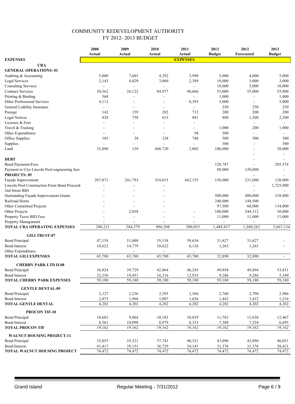|                                                                      | 2008    | 2009    | 2010           | 2011                     | 2012          | 2012                     | 2013           |
|----------------------------------------------------------------------|---------|---------|----------------|--------------------------|---------------|--------------------------|----------------|
|                                                                      | Actual  | Actual  | Actual         | Actual                   | <b>Budget</b> | Forecasted               | <b>Budget</b>  |
| <b>EXPENSES</b>                                                      |         |         |                | <b>EXPENSES</b>          |               |                          |                |
| <b>CRA</b><br><b>GENERAL OPERATIONS: 01</b>                          |         |         |                |                          |               |                          |                |
|                                                                      | 5,000   | 7,601   | 4,392          | 3,998                    |               | 4,000                    | 5,000          |
| Auditing & Accounting                                                |         |         |                |                          | 5,000         |                          |                |
| <b>Legal Services</b>                                                | 2,143   | 4,829   | 3,060          | 2,389                    | 10,000        | 3,000                    | 3,000          |
| <b>Consulting Services</b>                                           |         |         |                |                          | 10,000        | 5,000                    | 10,000         |
| <b>Contract Services</b>                                             | 34,362  | 26,122  | 84,977         | 40,666                   | 55,000        | 55,000                   | 55,000         |
| Printing & Binding                                                   | 568     |         |                |                          | 1,000         | $\overline{\phantom{a}}$ | 1,000          |
| Other Professional Services                                          | 4,112   |         |                | 6,393                    | 5,000         |                          | 5,000          |
| General Liability Insurance                                          |         |         |                |                          | 250           | 250                      | 250            |
| Postsge                                                              | 142     | 159     | 202            | 712                      | 200           | 200                      | 200            |
| <b>Legal Notices</b>                                                 | 828     | 750     | 613            | 881                      | 800           | 1,500                    | 2,500          |
| Licenses & Fees                                                      |         | ÷,      | $\overline{a}$ | $\overline{\phantom{0}}$ |               | $\blacksquare$           | $\blacksquare$ |
| Travel & Training                                                    |         |         |                | ۰                        | 1,000         | 200                      | 1,000          |
| Other Expenditures                                                   |         |         |                | 94                       | 500           | $\blacksquare$           |                |
| Office Supplies                                                      | 105     | 38      | 328            | 746                      | 500           | 300                      | 300            |
| Supplies                                                             |         |         |                |                          | 300           |                          | 300            |
| Land                                                                 | 33,090  | 129     | 448,720        | 2,002                    | 100,000       | $\blacksquare$           | 20,000         |
|                                                                      |         |         |                |                          |               |                          |                |
| <b>DEBT</b>                                                          |         |         |                |                          |               |                          |                |
| <b>Bond Payments/Fees</b>                                            |         |         |                |                          | 120,787       |                          | 205,574        |
| Payment to City-Lincoln Pool engineering fees<br><b>PROJECTS: 05</b> |         |         |                |                          | 80,000        | 120,000<br>÷,            |                |
| Façade Improvement                                                   | 207,871 | 241,793 | 354,015        | 442,155                  | 150,000       | 231,000                  | 120,000        |
| Lincoln Pool Construction From Bond Proceeds                         |         |         |                |                          |               | $\overline{a}$           | 1,725,000      |
| 2nd Street BID                                                       |         |         |                |                          |               |                          |                |
| Outstanding Façade Improvement Grants                                |         |         |                |                          | 500,000       | 400,000                  | 318,000        |
| Railroad Horns                                                       |         |         |                |                          | 240,000       | 144,500                  |                |
| Other Committed Projects                                             |         |         |                |                          | 97,500        | 60,000                   | 134,000        |
| Other Projects                                                       |         | 2,858   |                |                          | 100,000       | 244,312                  | 50,000         |
| Property Taxes BID Fees                                              |         |         |                |                          | 11,000        | 11,000                   | 11,000         |
|                                                                      |         |         |                |                          |               |                          |                |
| Property Management<br>TOTAL CRA OPERATING EXPENSES                  | 288,221 | 284,279 | 896,308        | 500,035                  | 1,488,837     | 1,280,262                | 2,667,124      |
|                                                                      |         |         |                |                          |               |                          |                |
| <b>GILI TRUST-07</b>                                                 |         |         |                |                          |               |                          |                |
| <b>Bond Principal</b>                                                | 47,158  | 51,009  | 55,158         | 59,654                   | 31,627        | 31,627                   |                |
| <b>Bond Interest</b>                                                 | 18,622  | 14,779  | 10,622         | 6,126                    | 1,263         | 1,263                    |                |
| Other Expenditures                                                   |         |         |                |                          |               |                          |                |
| <b>TOTAL GILI EXPENSES</b>                                           | 65,780  | 65,788  | 65,780         | 65,780                   | 32,890        | 32,890                   | $\blacksquare$ |
| <b>CHERRY PARK LTD II-08</b>                                         |         |         |                |                          |               |                          |                |
| <b>Bond Principal</b>                                                | 36,824  | 39,729  | 42,864         | 46,245                   | 49,894        | 49,894                   | 53,831         |
| <b>Bond Interest</b>                                                 | 22,356  | 19,451  | 16,316         | 12,935                   | 9,286         | 9,286                    | 5,349          |
| <b>TOTAL CHERRY PARK EXPENSES</b>                                    | 59,180  | 59,180  | 59,180         | 59,180                   | 59,180        | 59,180                   | 59,180         |
|                                                                      |         |         |                |                          |               |                          |                |
| <b>GENTLE DENTAL-09</b>                                              |         |         |                |                          |               |                          |                |
| <b>Bond Principal</b>                                                | 2,127   | 2,236   | 2,395          | 2,566                    | 2,760         | 2,790                    | 2,986          |
| <b>Bond Interest</b>                                                 | 2,075   | 1,966   | 1,807          | 1,636                    | 1,442         | 1,412                    | 1,216          |
| <b>TOTAL GENTLE DENTAL</b>                                           | 4,202   | 4,202   | 4,202          | 4,202                    | 4,202         | 4,202                    | 4,202          |
| PROCON TIF-10                                                        |         |         |                |                          |               |                          |                |
| <b>Bond Principal</b>                                                | 10,601  | 9,064   | 10,183         | 10,829                   | 11,782        | 11,638                   | 12,467         |
| <b>Bond Interest</b>                                                 | 8,561   | 10,098  | 8,979          | 8,333                    | 7,380         | 7,524                    | 6,695          |
| <b>TOTAL PROCON TIF</b>                                              | 19,162  | 19,162  | 19,162         | 19,162                   | 19,162        | 19,162                   | 19,162         |
| <b>WALNUT HOUSING PROJECT-11</b>                                     |         |         |                |                          |               |                          |                |
| <b>Bond Principal</b>                                                | 33,055  | 35,321  | 37,743         | 40,331                   | 43,096        | 43,096                   | 46,051         |
| <b>Bond Interest</b>                                                 | 41,417  | 39,151  | 36,729         | 34,141                   | 31,376        | 31,376                   | 28,421         |
| TOTAL WALNUT HOUSING PROJECT                                         | 74,472  | 74,472  | 74,472         | 74,472                   | 74,472        | 74,472                   | 74,472         |
|                                                                      |         |         |                |                          |               |                          |                |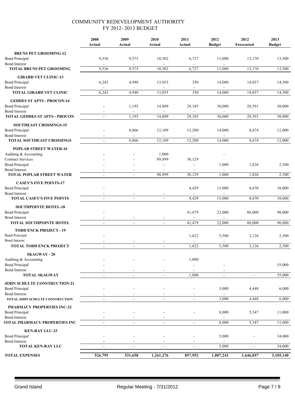|                                                                                                             | 2008<br>Actual           | 2009<br>Actual           | 2010<br>Actual                              | 2011<br>Actual           | 2012<br><b>Budget</b>             | 2012<br>Forecasted       | 2013<br><b>Budget</b> |
|-------------------------------------------------------------------------------------------------------------|--------------------------|--------------------------|---------------------------------------------|--------------------------|-----------------------------------|--------------------------|-----------------------|
| <b>BRUNS PET GROOMING-12</b><br><b>Bond Principal</b><br><b>Bond Interest</b>                               | 9,536                    | 9,575                    | 10,502                                      | 6,727                    | 11,000                            | 13,170                   | 13,500                |
| <b>TOTAL BRUNS PET GROOMING</b>                                                                             | 9,536                    | 9,575                    | 10,502                                      | 6,727                    | 11,000                            | 13,170                   | 13,500                |
| <b>GIRARD VET CLINIC-13</b><br><b>Bond Principal</b><br><b>Bond Interest</b>                                | 6,242                    | 4,940                    | 13,855                                      | 350                      | 14,000                            | 14,037                   | 14,500                |
| TOTAL GIRARD VET CLINIC                                                                                     | 6,242                    | 4,940                    | 13,855                                      | 350                      | 14,000                            | 14,037                   | 14,500                |
| <b>GEDDES ST APTS - PROCON-14</b><br><b>Bond Principal</b><br><b>Bond Interest</b>                          |                          | 1,195                    | 14,809                                      | 29,185                   | 30,000                            | 28,591                   | 30,000                |
| <b>TOTAL GEDDES ST APTS - PROCON</b>                                                                        |                          | 1,195                    | 14,809                                      | 29,185                   | 30,000                            | 28,591                   | 30,000                |
| <b>SOUTHEAST CROSSINGS-15</b><br><b>Bond Principal</b><br><b>Bond Interest</b>                              |                          | 8,866                    | 12,109                                      | 12,200                   | 14,000                            | 8,674                    | 12,000                |
| <b>TOTAL SOUTHEAST CROSSINGS</b>                                                                            | $\mathbf{r}$             | 8,866                    | 12,109                                      | 12,200                   | 14.000                            | 8,674                    | 12,000                |
| <b>POPLAR STREET WATER-16</b><br>Auditing & Accounting<br><b>Contract Services</b><br><b>Bond Principal</b> |                          |                          | 1,000<br>89,899<br>$\overline{\phantom{a}}$ | 38,129<br>÷,             | 1,000                             | 1,826                    | 2,500                 |
| <b>Bond Interest</b>                                                                                        |                          |                          |                                             |                          |                                   |                          |                       |
| <b>TOTAL POPLAR STREET WATER</b>                                                                            |                          |                          | 90,899                                      | 38,129                   | 1,000                             | 1,826                    | 2,500                 |
| <b>CASEY'S FIVE POINTS-17</b><br><b>Bond Principal</b><br><b>Bond Interest</b>                              |                          |                          |                                             | 4,429                    | 15,000                            | 8,670                    | 10,000                |
| <b>TOTAL CASEY'S FIVE POINTS</b>                                                                            | $\blacksquare$           | $\overline{\phantom{a}}$ | $\blacksquare$                              | 4,429                    | 15,000                            | 8,670                    | 10,000                |
| <b>SOUTHPOINTE HOTEL-18</b><br><b>Bond Principal</b><br><b>Bond Interest</b>                                |                          |                          |                                             | 41,479                   | 22,000                            | 88,000                   | 90,000                |
| <b>TOTAL SOUTHPOINTE HOTEL</b>                                                                              | $\mathbf{r}$             | $\blacksquare$           | $\blacksquare$                              | 41,479                   | 22,000                            | 88,000                   | 90,000                |
| <b>TODD ENCK PROJECT - 19</b><br><b>Bond Principal</b><br><b>Bond Interest</b>                              |                          |                          |                                             | 1,622                    | 5,500                             | 3,126                    | 2,500                 |
| <b>TOTAL TODD ENCK PROJECT</b>                                                                              | $\blacksquare$           | $\overline{\phantom{a}}$ | $\blacksquare$                              | 1,622                    | 5,500                             | 3,126                    | 2,500                 |
| <b>SKAGWAY - 20</b><br>Auditing & Accounting<br><b>Bond Principal</b>                                       |                          |                          |                                             | 1,000                    |                                   |                          | 55,000                |
| <b>Bond Interest</b>                                                                                        |                          |                          |                                             |                          |                                   |                          |                       |
| <b>TOTAL SKAGWAY</b>                                                                                        | ÷                        | $\blacksquare$           | $\blacksquare$                              | 1,000                    | $\sim$                            | $\sim$                   | 55,000                |
| JOHN SCHULTE CONSTRUCTION-21<br><b>Bond Principal</b><br><b>Bond Interest</b>                               |                          |                          |                                             |                          | 3,000                             | 4,448                    | 6,000                 |
| TOTAL JOHN SCHULTE CONSTRUCTION                                                                             |                          |                          |                                             |                          | 3,000                             | 4,448                    | 6,000                 |
| PHARMACY PROPERTIES INC-22<br><b>Bond Principal</b><br><b>Bond Interest</b>                                 |                          |                          |                                             |                          | 8,000                             | 5,347                    | 11,000                |
| <b><i>FOTAL PHARMACY PROPERTIES INC</i></b>                                                                 |                          |                          |                                             | $\blacksquare$           | 8,000                             | 5,347                    | 11,000                |
| <b>KEN-RAY LLC-23</b><br><b>Bond Principal</b><br><b>Bond Interest</b>                                      |                          |                          |                                             | $\overline{\phantom{a}}$ | 5,000<br>$\overline{\phantom{a}}$ |                          | 34,000                |
| TOTAL KEN-RAY LLC                                                                                           | $\overline{\phantom{a}}$ | $\overline{\phantom{a}}$ | $\overline{\phantom{a}}$                    | $\blacksquare$           | 5,000                             | $\overline{\phantom{a}}$ | 34,000                |
| <b>TOTAL EXPENSES</b>                                                                                       | 526,795                  | 531,658                  | 1,261,276                                   | 857,952                  | 1,807,243                         | 1,646,057                | 3,105,140             |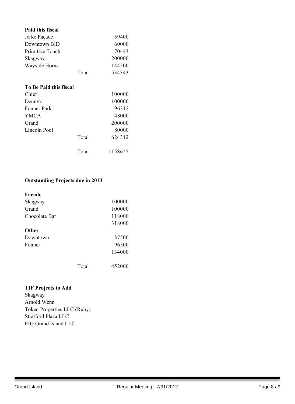|       | 59400   |
|-------|---------|
|       | 60000   |
|       | 70443   |
|       | 200000  |
|       | 144500  |
| Total | 534343  |
|       |         |
|       | 100000  |
|       | 100000  |
|       | 96312   |
|       | 48000   |
|       | 200000  |
|       | 80000   |
| Total | 624312  |
| Total | 1158655 |
|       |         |

#### **Outstanding Projects due in 2013**

| Façade        |       |        |
|---------------|-------|--------|
| Skagway       |       | 100000 |
| Grand         |       | 100000 |
| Chocolate Bar |       | 118000 |
|               |       | 318000 |
| <b>Other</b>  |       |        |
| Downtown      |       | 37500  |
| Fonner        |       | 96500  |
|               |       | 134000 |
|               | Total | 452000 |

#### **TIF Projects to Add**

Skagway Arnold Wenn Token Properties LLC (Ruby) Stratford Plaza LLC EIG Grand Island LLC